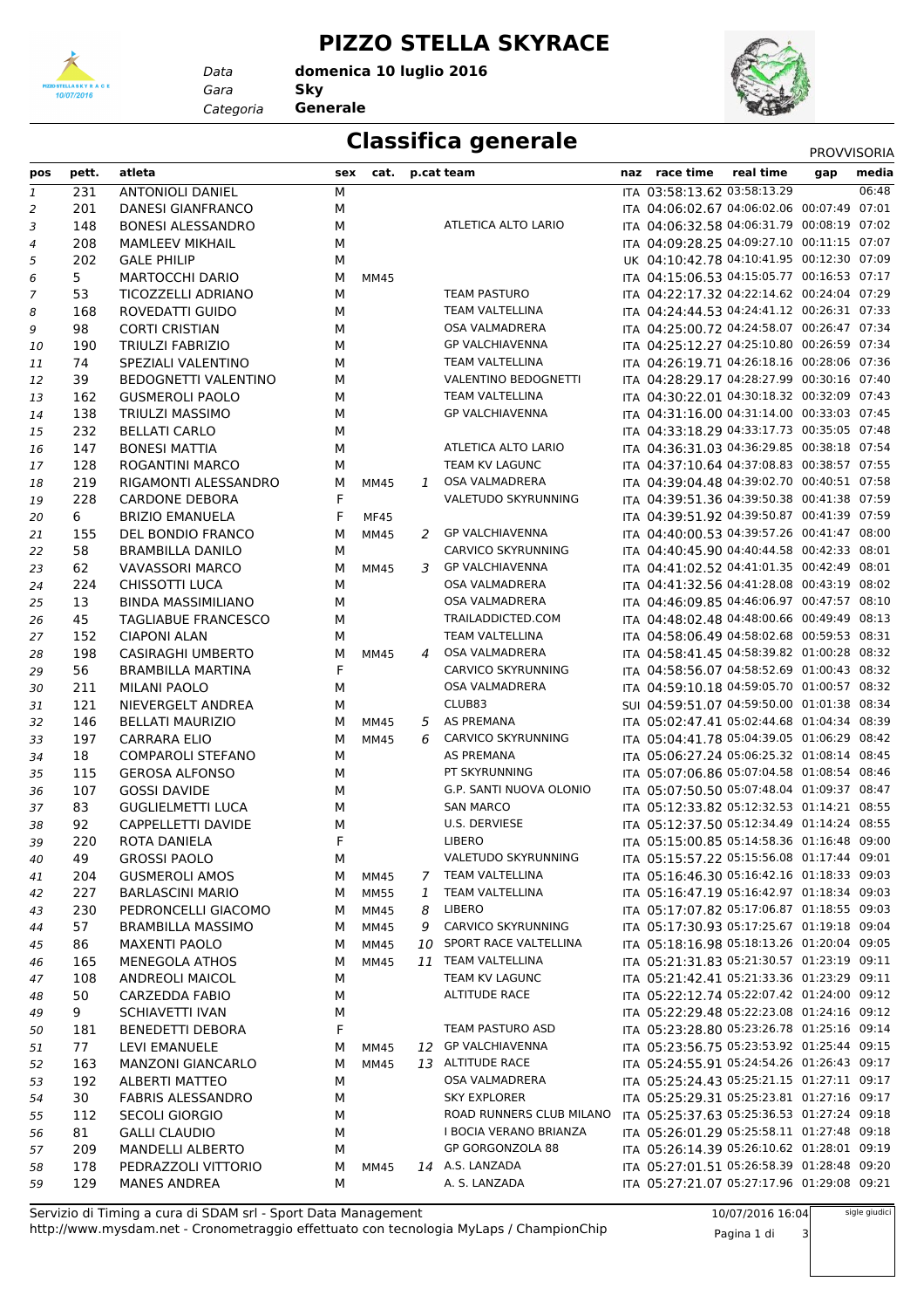

*Data*

## **PIZZO STELLA SKYRACE**

*Gara* **Sky domenica 10 luglio 2016**

*Categoria* **Generale**



## **Classifica generale** PROVVISORIA

| pos | pett.     | atleta                                   | sex    | cat.                |   | p.cat team                  | naz race time                                                                            | real time | gap | media |
|-----|-----------|------------------------------------------|--------|---------------------|---|-----------------------------|------------------------------------------------------------------------------------------|-----------|-----|-------|
| 1   | 231       | <b>ANTONIOLI DANIEL</b>                  | М      |                     |   |                             | ITA 03:58:13.62 03:58:13.29                                                              |           |     | 06:48 |
| 2   | 201       | <b>DANESI GIANFRANCO</b>                 | М      |                     |   |                             | ITA 04:06:02.67 04:06:02.06 00:07:49 07:01                                               |           |     |       |
| 3   | 148       | <b>BONESI ALESSANDRO</b>                 | М      |                     |   | ATLETICA ALTO LARIO         | ITA 04:06:32.58 04:06:31.79 00:08:19 07:02                                               |           |     |       |
| 4   | 208       | <b>MAMLEEV MIKHAIL</b>                   | М      |                     |   |                             | ITA 04:09:28.25 04:09:27.10 00:11:15 07:07                                               |           |     |       |
| 5   | 202       | <b>GALE PHILIP</b>                       | М      |                     |   |                             | UK 04:10:42.78 04:10:41.95 00:12:30 07:09                                                |           |     |       |
| 6   | 5         | <b>MARTOCCHI DARIO</b>                   | М      | <b>MM45</b>         |   |                             | ITA 04:15:06.53 04:15:05.77 00:16:53 07:17                                               |           |     |       |
| 7   | 53        | TICOZZELLI ADRIANO                       | М      |                     |   | <b>TEAM PASTURO</b>         | ITA 04:22:17.32 04:22:14.62 00:24:04 07:29                                               |           |     |       |
| 8   | 168       | ROVEDATTI GUIDO                          | М      |                     |   | TEAM VALTELLINA             | ITA 04:24:44.53 04:24:41.12 00:26:31 07:33                                               |           |     |       |
| 9   | 98        | <b>CORTI CRISTIAN</b>                    | М      |                     |   | <b>OSA VALMADRERA</b>       | ITA 04:25:00.72 04:24:58.07 00:26:47 07:34                                               |           |     |       |
| 10  | 190       | <b>TRIULZI FABRIZIO</b>                  | М      |                     |   | <b>GP VALCHIAVENNA</b>      | ITA 04:25:12.27 04:25:10.80 00:26:59 07:34                                               |           |     |       |
| 11  | 74        | SPEZIALI VALENTINO                       | М      |                     |   | TEAM VALTELLINA             | ITA 04:26:19.71 04:26:18.16 00:28:06 07:36                                               |           |     |       |
| 12  | 39        | <b>BEDOGNETTI VALENTINO</b>              | М      |                     |   | <b>VALENTINO BEDOGNETTI</b> | ITA 04:28:29.17 04:28:27.99 00:30:16 07:40                                               |           |     |       |
| 13  | 162       | <b>GUSMEROLI PAOLO</b>                   | М      |                     |   | TEAM VALTELLINA             | ITA 04:30:22.01 04:30:18.32 00:32:09 07:43                                               |           |     |       |
| 14  | 138       | TRIULZI MASSIMO                          | М      |                     |   | <b>GP VALCHIAVENNA</b>      | ITA 04:31:16.00 04:31:14.00 00:33:03 07:45                                               |           |     |       |
| 15  | 232       | <b>BELLATI CARLO</b>                     | М      |                     |   |                             | ITA 04:33:18.29 04:33:17.73 00:35:05 07:48                                               |           |     |       |
| 16  | 147       | <b>BONESI MATTIA</b>                     | М      |                     |   | ATLETICA ALTO LARIO         | ITA 04:36:31.03 04:36:29.85 00:38:18 07:54                                               |           |     |       |
| 17  | 128       | <b>ROGANTINI MARCO</b>                   | М      |                     |   | TEAM KV LAGUNC              | ITA 04:37:10.64 04:37:08.83 00:38:57 07:55                                               |           |     |       |
| 18  | 219       | RIGAMONTI ALESSANDRO                     | М      | <b>MM45</b>         |   | 1 OSA VALMADRERA            | ITA 04:39:04.48 04:39:02.70 00:40:51 07:58                                               |           |     |       |
| 19  | 228       | <b>CARDONE DEBORA</b>                    | F      |                     |   | VALETUDO SKYRUNNING         | ITA 04:39:51.36 04:39:50.38 00:41:38 07:59                                               |           |     |       |
| 20  | 6         | <b>BRIZIO EMANUELA</b>                   | F      | <b>MF45</b>         |   |                             | ITA 04:39:51.92 04:39:50.87 00:41:39 07:59                                               |           |     |       |
| 21  | 155       | DEL BONDIO FRANCO                        | М      | <b>MM45</b>         |   | 2 GP VALCHIAVENNA           | ITA 04:40:00.53 04:39:57.26 00:41:47 08:00                                               |           |     |       |
| 22  | 58        | <b>BRAMBILLA DANILO</b>                  | М      |                     |   | CARVICO SKYRUNNING          | ITA 04:40:45.90 04:40:44.58 00:42:33 08:01                                               |           |     |       |
| 23  | 62        | <b>VAVASSORI MARCO</b>                   | М      | MM45                |   | 3 GP VALCHIAVENNA           | ITA 04:41:02.52 04:41:01.35 00:42:49 08:01                                               |           |     |       |
| 24  | 224       | <b>CHISSOTTI LUCA</b>                    | М      |                     |   | <b>OSA VALMADRERA</b>       | ITA 04:41:32.56 04:41:28.08 00:43:19 08:02                                               |           |     |       |
| 25  | 13        | <b>BINDA MASSIMILIANO</b>                | М      |                     |   | OSA VALMADRERA              | ITA 04:46:09.85 04:46:06.97 00:47:57 08:10                                               |           |     |       |
| 26  | 45        | <b>TAGLIABUE FRANCESCO</b>               | М      |                     |   | TRAILADDICTED.COM           | ITA 04:48:02.48 04:48:00.66 00:49:49 08:13                                               |           |     |       |
| 27  | 152       | <b>CIAPONI ALAN</b>                      | М      |                     |   | <b>TEAM VALTELLINA</b>      | ITA 04:58:06.49 04:58:02.68 00:59:53 08:31                                               |           |     |       |
| 28  | 198       | <b>CASIRAGHI UMBERTO</b>                 | М      | <b>MM45</b>         | 4 | OSA VALMADRERA              | ITA 04:58:41.45 04:58:39.82 01:00:28 08:32                                               |           |     |       |
| 29  | 56        | <b>BRAMBILLA MARTINA</b>                 | F      |                     |   | <b>CARVICO SKYRUNNING</b>   | ITA 04:58:56.07 04:58:52.69 01:00:43 08:32                                               |           |     |       |
| 30  | 211       | <b>MILANI PAOLO</b>                      | М      |                     |   | <b>OSA VALMADRERA</b>       | ITA 04:59:10.18 04:59:05.70 01:00:57 08:32                                               |           |     |       |
| 31  | 121       | NIEVERGELT ANDREA                        | М      |                     |   | CLUB83                      | SUI 04:59:51.07 04:59:50.00 01:01:38 08:34                                               |           |     |       |
| 32  | 146       | <b>BELLATI MAURIZIO</b>                  | М      | <b>MM45</b>         |   | 5 AS PREMANA                | ITA 05:02:47.41 05:02:44.68 01:04:34 08:39                                               |           |     |       |
| 33  | 197       | <b>CARRARA ELIO</b>                      | М      | <b>MM45</b>         | 6 | CARVICO SKYRUNNING          | ITA 05:04:41.78 05:04:39.05 01:06:29 08:42                                               |           |     |       |
| 34  | 18        | <b>COMPAROLI STEFANO</b>                 | М      |                     |   | <b>AS PREMANA</b>           | ITA 05:06:27.24 05:06:25.32 01:08:14 08:45                                               |           |     |       |
| 35  | 115       | <b>GEROSA ALFONSO</b>                    | М      |                     |   | PT SKYRUNNING               | ITA 05:07:06.86 05:07:04.58 01:08:54 08:46                                               |           |     |       |
| 36  | 107       | <b>GOSSI DAVIDE</b>                      | М      |                     |   | G.P. SANTI NUOVA OLONIO     | ITA 05:07:50.50 05:07:48.04 01:09:37 08:47                                               |           |     |       |
| 37  | 83        | <b>GUGLIELMETTI LUCA</b>                 | М      |                     |   | <b>SAN MARCO</b>            | ITA 05:12:33.82 05:12:32.53 01:14:21 08:55                                               |           |     |       |
| 38  | 92        | CAPPELLETTI DAVIDE                       | М      |                     |   | U.S. DERVIESE               | ITA 05:12:37.50 05:12:34.49 01:14:24 08:55                                               |           |     |       |
| 39  | 220       | ROTA DANIELA                             | F      |                     |   | <b>LIBERO</b>               | ITA 05:15:00.85 05:14:58.36 01:16:48 09:00                                               |           |     |       |
|     | 49        | <b>GROSSI PAOLO</b>                      | М      |                     |   | VALETUDO SKYRUNNING         | ITA 05:15:57.22 05:15:56.08 01:17:44 09:01                                               |           |     |       |
| 40  | 204       | <b>GUSMEROLI AMOS</b>                    |        |                     |   | 7 TEAM VALTELLINA           | ITA 05:16:46.30 05:16:42.16 01:18:33 09:03                                               |           |     |       |
| 41  | 227       | <b>BARLASCINI MARIO</b>                  | м<br>м | MM45<br><b>MM55</b> | 1 | TEAM VALTELLINA             | ITA 05:16:47.19 05:16:42.97 01:18:34 09:03                                               |           |     |       |
| 42  | 230       | PEDRONCELLI GIACOMO                      |        | MM45                | 8 | LIBERO                      | ITA 05:17:07.82 05:17:06.87 01:18:55 09:03                                               |           |     |       |
| 43  | 57        | <b>BRAMBILLA MASSIMO</b>                 | М      | <b>MM45</b>         |   | 9 CARVICO SKYRUNNING        | ITA 05:17:30.93 05:17:25.67 01:19:18 09:04                                               |           |     |       |
| 44  | 86        | <b>MAXENTI PAOLO</b>                     | м      | MM45                |   | 10 SPORT RACE VALTELLINA    | ITA 05:18:16.98 05:18:13.26 01:20:04 09:05                                               |           |     |       |
| 45  |           |                                          | м      |                     |   | 11 TEAM VALTELLINA          | ITA 05:21:31.83 05:21:30.57 01:23:19 09:11                                               |           |     |       |
| 46  | 165       | <b>MENEGOLA ATHOS</b>                    | М      | MM45                |   | TEAM KV LAGUNC              | ITA 05:21:42.41 05:21:33.36 01:23:29 09:11                                               |           |     |       |
| 47  | 108<br>50 | <b>ANDREOLI MAICOL</b><br>CARZEDDA FABIO | М      |                     |   | <b>ALTITUDE RACE</b>        | ITA 05:22:12.74 05:22:07.42 01:24:00 09:12                                               |           |     |       |
| 48  |           |                                          | М      |                     |   |                             | ITA 05:22:29.48 05:22:23.08 01:24:16 09:12                                               |           |     |       |
| 49  | 9         | SCHIAVETTI IVAN                          | М      |                     |   | TEAM PASTURO ASD            | ITA 05:23:28.80 05:23:26.78 01:25:16 09:14                                               |           |     |       |
| 50  | 181       | <b>BENEDETTI DEBORA</b>                  | F      |                     |   |                             |                                                                                          |           |     |       |
| 51  | 77        | LEVI EMANUELE                            | M      | MM45                |   | 12 GP VALCHIAVENNA          | ITA 05:23:56.75 05:23:53.92 01:25:44 09:15<br>ITA 05:24:55.91 05:24:54.26 01:26:43 09:17 |           |     |       |
| 52  | 163       | <b>MANZONI GIANCARLO</b>                 | м      | MM45                |   | 13 ALTITUDE RACE            | ITA 05:25:24.43 05:25:21.15 01:27:11 09:17                                               |           |     |       |
| 53  | 192       | <b>ALBERTI MATTEO</b>                    | М      |                     |   | OSA VALMADRERA              | ITA 05:25:29.31 05:25:23.81 01:27:16 09:17                                               |           |     |       |
| 54  | 30        | <b>FABRIS ALESSANDRO</b>                 | М      |                     |   | <b>SKY EXPLORER</b>         |                                                                                          |           |     |       |
| 55  | 112       | SECOLI GIORGIO                           | М      |                     |   | ROAD RUNNERS CLUB MILANO    | ITA 05:25:37.63 05:25:36.53 01:27:24 09:18<br>ITA 05:26:01.29 05:25:58.11 01:27:48 09:18 |           |     |       |
| 56  | 81        | <b>GALLI CLAUDIO</b>                     | М      |                     |   | I BOCIA VERANO BRIANZA      |                                                                                          |           |     |       |
| 57  | 209       | <b>MANDELLI ALBERTO</b>                  | М      |                     |   | GP GORGONZOLA 88            | ITA 05:26:14.39 05:26:10.62 01:28:01 09:19                                               |           |     |       |
| 58  | 178       | PEDRAZZOLI VITTORIO                      | М      | MM45                |   | 14 A.S. LANZADA             | ITA 05:27:01.51 05:26:58.39 01:28:48 09:20                                               |           |     |       |
| 59  | 129       | <b>MANES ANDREA</b>                      | М      |                     |   | A. S. LANZADA               | ITA 05:27:21.07 05:27:17.96 01:29:08 09:21                                               |           |     |       |

http://www.mysdam.net - Cronometraggio effettuato con tecnologia MyLaps / ChampionChip Servizio di Timing a cura di SDAM srl - Sport Data Management

10/07/2016 16:04

Pagina 1 di 3

sigle giudici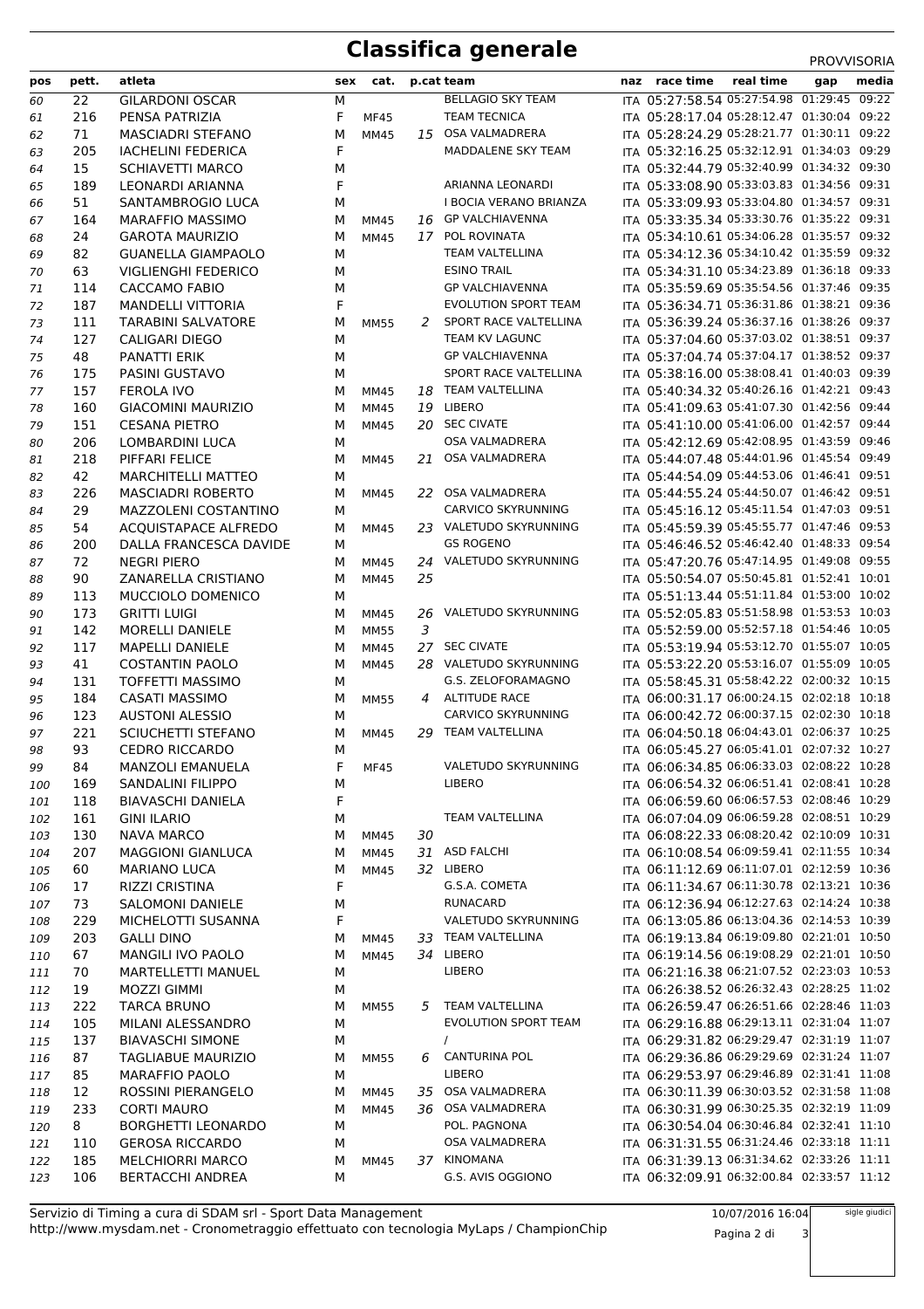## **Classifica generale** PROVISORIA

|     |       |                            |   |                     |    |                             |                                            |           |     | 111000000000 |
|-----|-------|----------------------------|---|---------------------|----|-----------------------------|--------------------------------------------|-----------|-----|--------------|
| pos | pett. | atleta                     |   | sex cat. p.cat team |    |                             | naz race time                              | real time | gap | media        |
| 60  | 22    | <b>GILARDONI OSCAR</b>     | М |                     |    | <b>BELLAGIO SKY TEAM</b>    | ITA 05:27:58.54 05:27:54.98 01:29:45 09:22 |           |     |              |
| 61  | 216   | PENSA PATRIZIA             | F | <b>MF45</b>         |    | <b>TEAM TECNICA</b>         | ITA 05:28:17.04 05:28:12.47 01:30:04 09:22 |           |     |              |
| 62  | 71    | <b>MASCIADRI STEFANO</b>   | М | MM45                |    | 15 OSA VALMADRERA           | ITA 05:28:24.29 05:28:21.77 01:30:11 09:22 |           |     |              |
| 63  | 205   | <b>IACHELINI FEDERICA</b>  | F |                     |    | MADDALENE SKY TEAM          | ITA 05:32:16.25 05:32:12.91 01:34:03 09:29 |           |     |              |
| 64  | 15    | <b>SCHIAVETTI MARCO</b>    | М |                     |    |                             | ITA 05:32:44.79 05:32:40.99 01:34:32 09:30 |           |     |              |
| 65  | 189   | LEONARDI ARIANNA           | F |                     |    | ARIANNA LEONARDI            | ITA 05:33:08.90 05:33:03.83 01:34:56 09:31 |           |     |              |
| 66  | 51    | SANTAMBROGIO LUCA          | М |                     |    | I BOCIA VERANO BRIANZA      | ITA 05:33:09.93 05:33:04.80 01:34:57 09:31 |           |     |              |
| 67  | 164   | <b>MARAFFIO MASSIMO</b>    | м | <b>MM45</b>         |    | 16 GP VALCHIAVENNA          | ITA 05:33:35.34 05:33:30.76 01:35:22 09:31 |           |     |              |
| 68  | 24    | <b>GAROTA MAURIZIO</b>     | М | MM45                | 17 | POL ROVINATA                | ITA 05:34:10.61 05:34:06.28 01:35:57 09:32 |           |     |              |
| 69  | 82    | <b>GUANELLA GIAMPAOLO</b>  | M |                     |    | <b>TEAM VALTELLINA</b>      | ITA 05:34:12.36 05:34:10.42 01:35:59 09:32 |           |     |              |
| 70  | 63    | <b>VIGLIENGHI FEDERICO</b> | M |                     |    | <b>ESINO TRAIL</b>          | ITA 05:34:31.10 05:34:23.89 01:36:18 09:33 |           |     |              |
| 71  | 114   | <b>CACCAMO FABIO</b>       | М |                     |    | <b>GP VALCHIAVENNA</b>      | ITA 05:35:59.69 05:35:54.56 01:37:46 09:35 |           |     |              |
| 72  | 187   | <b>MANDELLI VITTORIA</b>   | F |                     |    | <b>EVOLUTION SPORT TEAM</b> | ITA 05:36:34.71 05:36:31.86 01:38:21 09:36 |           |     |              |
| 73  | 111   | <b>TARABINI SALVATORE</b>  | М | <b>MM55</b>         | 2  | SPORT RACE VALTELLINA       | ITA 05:36:39.24 05:36:37.16 01:38:26 09:37 |           |     |              |
| 74  | 127   | CALIGARI DIEGO             | М |                     |    | TEAM KV LAGUNC              | ITA 05:37:04.60 05:37:03.02 01:38:51 09:37 |           |     |              |
| 75  | 48    | <b>PANATTI ERIK</b>        | М |                     |    | <b>GP VALCHIAVENNA</b>      | ITA 05:37:04.74 05:37:04.17 01:38:52 09:37 |           |     |              |
| 76  | 175   | PASINI GUSTAVO             | М |                     |    | SPORT RACE VALTELLINA       | ITA 05:38:16.00 05:38:08.41 01:40:03 09:39 |           |     |              |
| 77  | 157   | <b>FEROLA IVO</b>          | М | MM45                |    | 18 TEAM VALTELLINA          | ITA 05:40:34.32 05:40:26.16 01:42:21 09:43 |           |     |              |
| 78  | 160   | <b>GIACOMINI MAURIZIO</b>  | М | MM45                |    | 19 LIBERO                   | ITA 05:41:09.63 05:41:07.30 01:42:56 09:44 |           |     |              |
| 79  | 151   | <b>CESANA PIETRO</b>       | М | <b>MM45</b>         |    | 20 SEC CIVATE               | ITA 05:41:10.00 05:41:06.00 01:42:57 09:44 |           |     |              |
| 80  | 206   | <b>LOMBARDINI LUCA</b>     | М |                     |    | OSA VALMADRERA              | ITA 05:42:12.69 05:42:08.95 01:43:59 09:46 |           |     |              |
| 81  | 218   | PIFFARI FELICE             | М | <b>MM45</b>         |    | 21 OSA VALMADRERA           | ITA 05:44:07.48 05:44:01.96 01:45:54 09:49 |           |     |              |
| 82  | 42    | <b>MARCHITELLI MATTEO</b>  | М |                     |    |                             | ITA 05:44:54.09 05:44:53.06 01:46:41 09:51 |           |     |              |
| 83  | 226   | <b>MASCIADRI ROBERTO</b>   | М | MM45                |    | 22 OSA VALMADRERA           | ITA 05:44:55.24 05:44:50.07 01:46:42 09:51 |           |     |              |
|     | 29    | MAZZOLENI COSTANTINO       | М |                     |    | <b>CARVICO SKYRUNNING</b>   | ITA 05:45:16.12 05:45:11.54 01:47:03 09:51 |           |     |              |
| 84  | 54    | ACQUISTAPACE ALFREDO       |   |                     |    | 23 VALETUDO SKYRUNNING      | ITA 05:45:59.39 05:45:55.77 01:47:46 09:53 |           |     |              |
| 85  |       |                            | М | MM45                |    | <b>GS ROGENO</b>            | ITA 05:46:46.52 05:46:42.40 01:48:33 09:54 |           |     |              |
| 86  | 200   | DALLA FRANCESCA DAVIDE     | М |                     |    |                             | ITA 05:47:20.76 05:47:14.95 01:49:08 09:55 |           |     |              |
| 87  | 72    | <b>NEGRI PIERO</b>         | М | <b>MM45</b>         |    | 24 VALETUDO SKYRUNNING      |                                            |           |     |              |
| 88  | 90    | ZANARELLA CRISTIANO        | М | <b>MM45</b>         | 25 |                             | ITA 05:50:54.07 05:50:45.81 01:52:41 10:01 |           |     |              |
| 89  | 113   | MUCCIOLO DOMENICO          | М |                     |    |                             | ITA 05:51:13.44 05:51:11.84 01:53:00 10:02 |           |     |              |
| 90  | 173   | <b>GRITTI LUIGI</b>        | М | MM45                |    | 26 VALETUDO SKYRUNNING      | ITA 05:52:05.83 05:51:58.98 01:53:53 10:03 |           |     |              |
| 91  | 142   | <b>MORELLI DANIELE</b>     | М | <b>MM55</b>         | 3  |                             | ITA 05:52:59.00 05:52:57.18 01:54:46 10:05 |           |     |              |
| 92  | 117   | <b>MAPELLI DANIELE</b>     | М | <b>MM45</b>         | 27 | <b>SEC CIVATE</b>           | ITA 05:53:19.94 05:53:12.70 01:55:07 10:05 |           |     |              |
| 93  | 41    | <b>COSTANTIN PAOLO</b>     | М | <b>MM45</b>         |    | 28 VALETUDO SKYRUNNING      | ITA 05:53:22.20 05:53:16.07 01:55:09 10:05 |           |     |              |
| 94  | 131   | <b>TOFFETTI MASSIMO</b>    | М |                     |    | G.S. ZELOFORAMAGNO          | ITA 05:58:45.31 05:58:42.22 02:00:32 10:15 |           |     |              |
| 95  | 184   | <b>CASATI MASSIMO</b>      | М | <b>MM55</b>         |    | 4 ALTITUDE RACE             | ITA 06:00:31.17 06:00:24.15 02:02:18 10:18 |           |     |              |
| 96  | 123   | <b>AUSTONI ALESSIO</b>     | М |                     |    | <b>CARVICO SKYRUNNING</b>   | ITA 06:00:42.72 06:00:37.15 02:02:30 10:18 |           |     |              |
| 97  | 221   | <b>SCIUCHETTI STEFANO</b>  | М | MM45                |    | 29 TEAM VALTELLINA          | ITA 06:04:50.18 06:04:43.01 02:06:37 10:25 |           |     |              |
| 98  | 93    | <b>CEDRO RICCARDO</b>      | М |                     |    |                             | ITA 06:05:45.27 06:05:41.01 02:07:32 10:27 |           |     |              |
| 99  | 84    | MANZOLI EMANUELA           | F | <b>MF45</b>         |    | VALETUDO SKYRUNNING         | ITA 06:06:34.85 06:06:33.03 02:08:22 10:28 |           |     |              |
| 100 | 169   | <b>SANDALINI FILIPPO</b>   | М |                     |    | <b>LIBERO</b>               | ITA 06:06:54.32 06:06:51.41 02:08:41 10:28 |           |     |              |
| 101 | 118   | <b>BIAVASCHI DANIELA</b>   | F |                     |    |                             | ITA 06:06:59.60 06:06:57.53 02:08:46 10:29 |           |     |              |
| 102 | 161   | <b>GINI ILARIO</b>         | М |                     |    | TEAM VALTELLINA             | ITA 06:07:04.09 06:06:59.28 02:08:51 10:29 |           |     |              |
| 103 | 130   | <b>NAVA MARCO</b>          | М | MM45                | 30 |                             | ITA 06:08:22.33 06:08:20.42 02:10:09 10:31 |           |     |              |
| 104 | 207   | <b>MAGGIONI GIANLUCA</b>   | М | MM45                |    | 31 ASD FALCHI               | ITA 06:10:08.54 06:09:59.41 02:11:55 10:34 |           |     |              |
| 105 | 60    | <b>MARIANO LUCA</b>        | М | MM45                |    | 32 LIBERO                   | ITA 06:11:12.69 06:11:07.01 02:12:59 10:36 |           |     |              |
| 106 | 17    | <b>RIZZI CRISTINA</b>      | F |                     |    | G.S.A. COMETA               | ITA 06:11:34.67 06:11:30.78 02:13:21 10:36 |           |     |              |
| 107 | 73    | <b>SALOMONI DANIELE</b>    | М |                     |    | RUNACARD                    | ITA 06:12:36.94 06:12:27.63 02:14:24 10:38 |           |     |              |
| 108 | 229   | MICHELOTTI SUSANNA         | F |                     |    | VALETUDO SKYRUNNING         | ITA 06:13:05.86 06:13:04.36 02:14:53 10:39 |           |     |              |
| 109 | 203   | <b>GALLI DINO</b>          | М | MM45                |    | 33 TEAM VALTELLINA          | ITA 06:19:13.84 06:19:09.80 02:21:01 10:50 |           |     |              |
| 110 | 67    | MANGILI IVO PAOLO          | М | MM45                |    | 34 LIBERO                   | ITA 06:19:14.56 06:19:08.29 02:21:01 10:50 |           |     |              |
| 111 | 70    | <b>MARTELLETTI MANUEL</b>  | М |                     |    | <b>LIBERO</b>               | ITA 06:21:16.38 06:21:07.52 02:23:03 10:53 |           |     |              |
| 112 | 19    | <b>MOZZI GIMMI</b>         | М |                     |    |                             | ITA 06:26:38.52 06:26:32.43 02:28:25 11:02 |           |     |              |
| 113 | 222   | <b>TARCA BRUNO</b>         | М | MM55                | 5  | TEAM VALTELLINA             | ITA 06:26:59.47 06:26:51.66 02:28:46 11:03 |           |     |              |
| 114 | 105   | MILANI ALESSANDRO          | М |                     |    | EVOLUTION SPORT TEAM        | ITA 06:29:16.88 06:29:13.11 02:31:04 11:07 |           |     |              |
| 115 | 137   | <b>BIAVASCHI SIMONE</b>    | М |                     |    |                             | ITA 06:29:31.82 06:29:29.47 02:31:19 11:07 |           |     |              |
| 116 | 87    | <b>TAGLIABUE MAURIZIO</b>  | М | <b>MM55</b>         | 6  | <b>CANTURINA POL</b>        | ITA 06:29:36.86 06:29:29.69 02:31:24 11:07 |           |     |              |
|     | 85    | <b>MARAFFIO PAOLO</b>      | М |                     |    | LIBERO                      | ITA 06:29:53.97 06:29:46.89 02:31:41 11:08 |           |     |              |
| 117 |       |                            |   |                     |    | OSA VALMADRERA              | ITA 06:30:11.39 06:30:03.52 02:31:58 11:08 |           |     |              |
| 118 | 12    | ROSSINI PIERANGELO         | М | MM45                | 35 |                             |                                            |           |     |              |
| 119 | 233   | <b>CORTI MAURO</b>         | М | MM45                |    | 36 OSA VALMADRERA           | ITA 06:30:31.99 06:30:25.35 02:32:19 11:09 |           |     |              |
| 120 | 8     | <b>BORGHETTI LEONARDO</b>  | М |                     |    | POL. PAGNONA                | ITA 06:30:54.04 06:30:46.84 02:32:41 11:10 |           |     |              |
| 121 | 110   | <b>GEROSA RICCARDO</b>     | М |                     |    | OSA VALMADRERA              | ITA 06:31:31.55 06:31:24.46 02:33:18 11:11 |           |     |              |
| 122 | 185   | <b>MELCHIORRI MARCO</b>    | М | MM45                |    | 37 KINOMANA                 | ITA 06:31:39.13 06:31:34.62 02:33:26 11:11 |           |     |              |
| 123 | 106   | <b>BERTACCHI ANDREA</b>    | М |                     |    | G.S. AVIS OGGIONO           | ITA 06:32:09.91 06:32:00.84 02:33:57 11:12 |           |     |              |

http://www.mysdam.net - Cronometraggio effettuato con tecnologia MyLaps / ChampionChip Servizio di Timing a cura di SDAM srl - Sport Data Management

10/07/2016 16:04

Pagina 2 di 3

sigle giudici